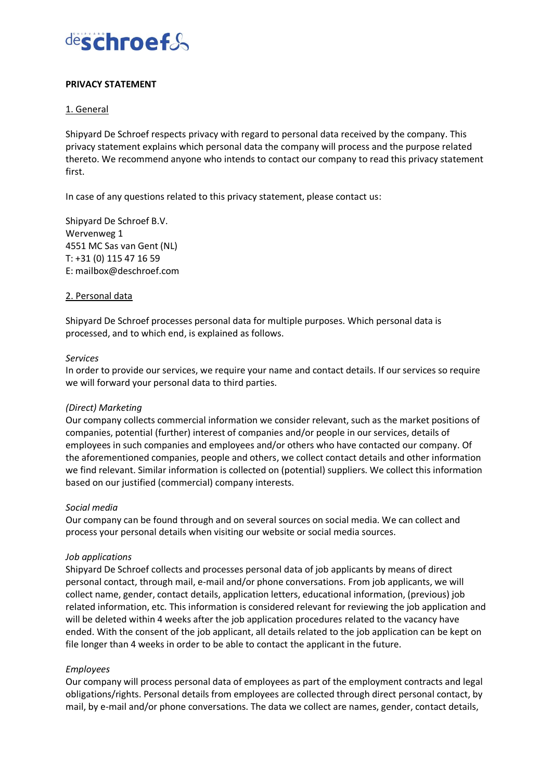

### **PRIVACY STATEMENT**

### 1. General

Shipyard De Schroef respects privacy with regard to personal data received by the company. This privacy statement explains which personal data the company will process and the purpose related thereto. We recommend anyone who intends to contact our company to read this privacy statement first.

In case of any questions related to this privacy statement, please contact us:

Shipyard De Schroef B.V. Wervenweg 1 4551 MC Sas van Gent (NL) T: +31 (0) 115 47 16 59 E: mailbox@deschroef.com

#### 2. Personal data

Shipyard De Schroef processes personal data for multiple purposes. Which personal data is processed, and to which end, is explained as follows.

#### *Services*

In order to provide our services, we require your name and contact details. If our services so require we will forward your personal data to third parties.

#### *(Direct) Marketing*

Our company collects commercial information we consider relevant, such as the market positions of companies, potential (further) interest of companies and/or people in our services, details of employees in such companies and employees and/or others who have contacted our company. Of the aforementioned companies, people and others, we collect contact details and other information we find relevant. Similar information is collected on (potential) suppliers. We collect this information based on our justified (commercial) company interests.

#### *Social media*

Our company can be found through and on several sources on social media. We can collect and process your personal details when visiting our website or social media sources.

#### *Job applications*

Shipyard De Schroef collects and processes personal data of job applicants by means of direct personal contact, through mail, e-mail and/or phone conversations. From job applicants, we will collect name, gender, contact details, application letters, educational information, (previous) job related information, etc. This information is considered relevant for reviewing the job application and will be deleted within 4 weeks after the job application procedures related to the vacancy have ended. With the consent of the job applicant, all details related to the job application can be kept on file longer than 4 weeks in order to be able to contact the applicant in the future.

#### *Employees*

Our company will process personal data of employees as part of the employment contracts and legal obligations/rights. Personal details from employees are collected through direct personal contact, by mail, by e-mail and/or phone conversations. The data we collect are names, gender, contact details,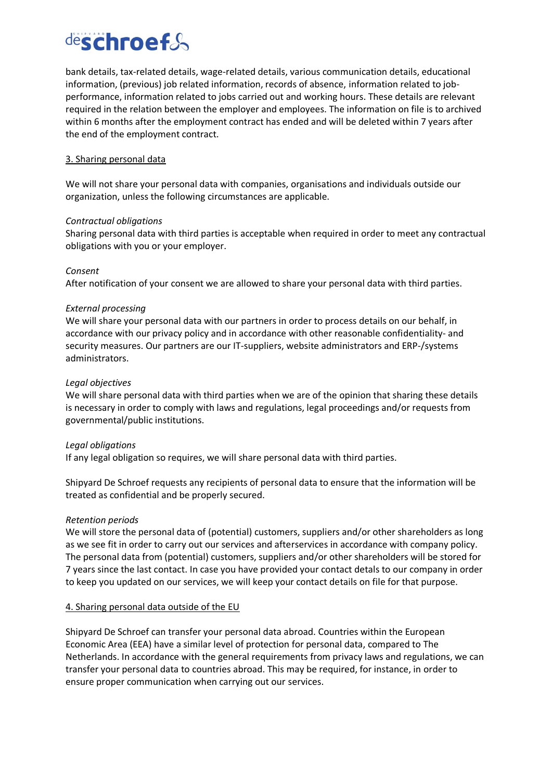# deschroef&

bank details, tax-related details, wage-related details, various communication details, educational information, (previous) job related information, records of absence, information related to jobperformance, information related to jobs carried out and working hours. These details are relevant required in the relation between the employer and employees. The information on file is to archived within 6 months after the employment contract has ended and will be deleted within 7 years after the end of the employment contract.

## 3. Sharing personal data

We will not share your personal data with companies, organisations and individuals outside our organization, unless the following circumstances are applicable.

## *Contractual obligations*

Sharing personal data with third parties is acceptable when required in order to meet any contractual obligations with you or your employer.

## *Consent*

After notification of your consent we are allowed to share your personal data with third parties.

## *External processing*

We will share your personal data with our partners in order to process details on our behalf, in accordance with our privacy policy and in accordance with other reasonable confidentiality- and security measures. Our partners are our IT-suppliers, website administrators and ERP-/systems administrators.

## *Legal objectives*

We will share personal data with third parties when we are of the opinion that sharing these details is necessary in order to comply with laws and regulations, legal proceedings and/or requests from governmental/public institutions.

#### *Legal obligations*

If any legal obligation so requires, we will share personal data with third parties.

Shipyard De Schroef requests any recipients of personal data to ensure that the information will be treated as confidential and be properly secured.

#### *Retention periods*

We will store the personal data of (potential) customers, suppliers and/or other shareholders as long as we see fit in order to carry out our services and afterservices in accordance with company policy. The personal data from (potential) customers, suppliers and/or other shareholders will be stored for 7 years since the last contact. In case you have provided your contact detals to our company in order to keep you updated on our services, we will keep your contact details on file for that purpose.

## 4. Sharing personal data outside of the EU

Shipyard De Schroef can transfer your personal data abroad. Countries within the European Economic Area (EEA) have a similar level of protection for personal data, compared to The Netherlands. In accordance with the general requirements from privacy laws and regulations, we can transfer your personal data to countries abroad. This may be required, for instance, in order to ensure proper communication when carrying out our services.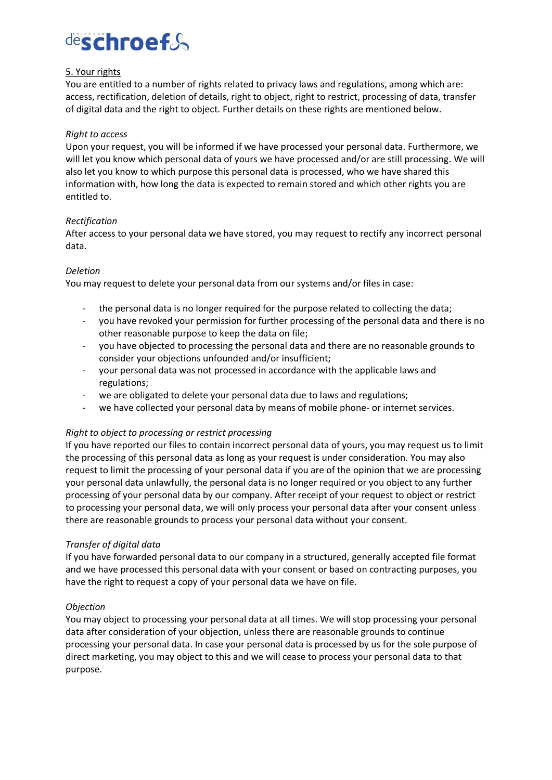# deschroef&

## 5. Your rights

You are entitled to a number of rights related to privacy laws and regulations, among which are: access, rectification, deletion of details, right to object, right to restrict, processing of data, transfer of digital data and the right to object. Further details on these rights are mentioned below.

## *Right to access*

Upon your request, you will be informed if we have processed your personal data. Furthermore, we will let you know which personal data of yours we have processed and/or are still processing. We will also let you know to which purpose this personal data is processed, who we have shared this information with, how long the data is expected to remain stored and which other rights you are entitled to.

## *Rectification*

After access to your personal data we have stored, you may request to rectify any incorrect personal data.

## *Deletion*

You may request to delete your personal data from our systems and/or files in case:

- the personal data is no longer required for the purpose related to collecting the data;
- you have revoked your permission for further processing of the personal data and there is no other reasonable purpose to keep the data on file;
- you have objected to processing the personal data and there are no reasonable grounds to consider your objections unfounded and/or insufficient;
- your personal data was not processed in accordance with the applicable laws and regulations;
- we are obligated to delete your personal data due to laws and regulations;
- we have collected your personal data by means of mobile phone- or internet services.

## *Right to object to processing or restrict processing*

If you have reported our files to contain incorrect personal data of yours, you may request us to limit the processing of this personal data as long as your request is under consideration. You may also request to limit the processing of your personal data if you are of the opinion that we are processing your personal data unlawfully, the personal data is no longer required or you object to any further processing of your personal data by our company. After receipt of your request to object or restrict to processing your personal data, we will only process your personal data after your consent unless there are reasonable grounds to process your personal data without your consent.

#### *Transfer of digital data*

If you have forwarded personal data to our company in a structured, generally accepted file format and we have processed this personal data with your consent or based on contracting purposes, you have the right to request a copy of your personal data we have on file.

#### *Objection*

You may object to processing your personal data at all times. We will stop processing your personal data after consideration of your objection, unless there are reasonable grounds to continue processing your personal data. In case your personal data is processed by us for the sole purpose of direct marketing, you may object to this and we will cease to process your personal data to that purpose.